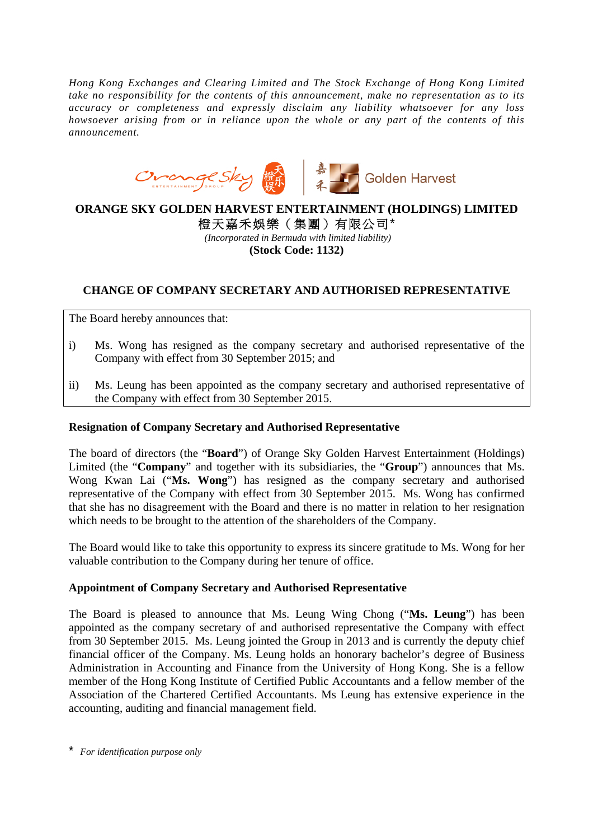*Hong Kong Exchanges and Clearing Limited and The Stock Exchange of Hong Kong Limited take no responsibility for the contents of this announcement, make no representation as to its accuracy or completeness and expressly disclaim any liability whatsoever for any loss howsoever arising from or in reliance upon the whole or any part of the contents of this announcement.* 



## **ORANGE SKY GOLDEN HARVEST ENTERTAINMENT (HOLDINGS) LIMITED**

橙天嘉禾娛樂(集團)有限公司\* *(Incorporated in Bermuda with limited liability)* 

**(Stock Code: 1132)** 

## **CHANGE OF COMPANY SECRETARY AND AUTHORISED REPRESENTATIVE**

The Board hereby announces that:

- i) Ms. Wong has resigned as the company secretary and authorised representative of the Company with effect from 30 September 2015; and
- ii) Ms. Leung has been appointed as the company secretary and authorised representative of the Company with effect from 30 September 2015.

## **Resignation of Company Secretary and Authorised Representative**

The board of directors (the "**Board**") of Orange Sky Golden Harvest Entertainment (Holdings) Limited (the "**Company**" and together with its subsidiaries, the "**Group**") announces that Ms. Wong Kwan Lai ("**Ms. Wong**") has resigned as the company secretary and authorised representative of the Company with effect from 30 September 2015. Ms. Wong has confirmed that she has no disagreement with the Board and there is no matter in relation to her resignation which needs to be brought to the attention of the shareholders of the Company.

The Board would like to take this opportunity to express its sincere gratitude to Ms. Wong for her valuable contribution to the Company during her tenure of office.

## **Appointment of Company Secretary and Authorised Representative**

The Board is pleased to announce that Ms. Leung Wing Chong ("**Ms. Leung**") has been appointed as the company secretary of and authorised representative the Company with effect from 30 September 2015. Ms. Leung jointed the Group in 2013 and is currently the deputy chief financial officer of the Company. Ms. Leung holds an honorary bachelor's degree of Business Administration in Accounting and Finance from the University of Hong Kong. She is a fellow member of the Hong Kong Institute of Certified Public Accountants and a fellow member of the Association of the Chartered Certified Accountants. Ms Leung has extensive experience in the accounting, auditing and financial management field.

\* *For identification purpose only*